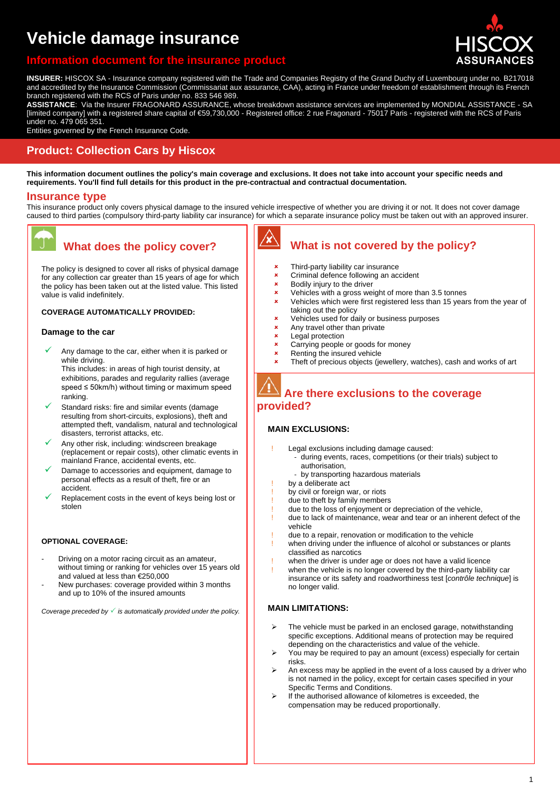# **Vehicle damage insurance**

### **Information the insurance in**



**INSURER:** HISCOX SA - Insurance company registered with the Trade and Companies Registry of the Grand Duchy of Luxembourg under no. B217018 and accredited by the Insurance Commission (Commissariat aux assurance, CAA), acting in France under freedom of establishment through its French branch registered with the RCS of Paris under no. 833 546 989.

**ASSISTANCE**: Via the Insurer FRAGONARD ASSURANCE, whose breakdown assistance services are implemented by MONDIAL ASSISTANCE - SA [limited company] with a registered share capital of €59,730,000 - Registered office: 2 rue Fragonard - 75017 Paris - registered with the RCS of Paris under no. 479 065 351.

Entities governed by the French Insurance Code.

### **Product: Collection Cars by Hiscox**

**This information document outlines the policy's main coverage and exclusions. It does not take into account your specific needs and requirements. You'll find full details for this product in the pre-contractual and contractual documentation.** 

#### **Insurance type**

This insurance product only covers physical damage to the insured vehicle irrespective of whether you are driving it or not. It does not cover damage caused to third parties (compulsory third-party liability car insurance) for which a separate insurance policy must be taken out with an approved insurer.



## **What does the policy cover?**

The policy is designed to cover all risks of physical damage for any collection car greater than 15 years of age for which the policy has been taken out at the listed value. This listed value is valid indefinitely.

#### **COVERAGE AUTOMATICALLY PROVIDED:**

#### **Damage to the car**

 Any damage to the car, either when it is parked or while driving.

This includes: in areas of high tourist density, at exhibitions, parades and regularity rallies (average speed ≤ 50km/h) without timing or maximum speed ranking.

- Standard risks: fire and similar events (damage resulting from short-circuits, explosions), theft and attempted theft, vandalism, natural and technological disasters, terrorist attacks, etc.
- Any other risk, including: windscreen breakage (replacement or repair costs), other climatic events in mainland France, accidental events, etc.
- Damage to accessories and equipment, damage to personal effects as a result of theft, fire or an accident.
- Replacement costs in the event of keys being lost or stolen

#### **OPTIONAL COVERAGE:**

- Driving on a motor racing circuit as an amateur, without timing or ranking for vehicles over 15 years old and valued at less than €250,000
- New purchases: coverage provided within 3 months and up to 10% of the insured amounts

*Coverage preceded by is automatically provided under the policy.*

### **What is not covered by the policy?**

- Third-party liability car insurance
- **\*** Criminal defence following an accident
- **\*** Bodily injury to the driver
- Vehicles with a gross weight of more than 3.5 tonnes
- Vehicles which were first registered less than 15 years from the year of taking out the policy
- **x** Vehicles used for daily or business purposes<br>Any travel other than private
- $\frac{\mathbf{x}}{\mathbf{x}}$  Any travel other than private
- Legal protection
- $\frac{\textbf{x}}{\textbf{x}}$  Carrying people or goods for money
- Renting the insured vehicle
- Theft of precious objects (jewellery, watches), cash and works of art

### **Are there exclusions to the coverage provided?**

#### **MAIN EXCLUSIONS:**

- Legal exclusions including damage caused:
- during events, races, competitions (or their trials) subject to authorisation,
	- by transporting hazardous materials
- by a deliberate act
- by civil or foreign war, or riots
- due to theft by family members
- due to the loss of enjoyment or depreciation of the vehicle,
- due to lack of maintenance, wear and tear or an inherent defect of the vehicle
- due to a repair, renovation or modification to the vehicle
- when driving under the influence of alcohol or substances or plants classified as narcotics
- when the driver is under age or does not have a valid licence
- when the vehicle is no longer covered by the third-party liability car insurance or its safety and roadworthiness test [*contrôle technique*] is no longer valid.

#### **MAIN LIMITATIONS:**

- The vehicle must be parked in an enclosed garage, notwithstanding specific exceptions. Additional means of protection may be required depending on the characteristics and value of the vehicle.
- You may be required to pay an amount (excess) especially for certain risks.
- An excess may be applied in the event of a loss caused by a driver who is not named in the policy, except for certain cases specified in your Specific Terms and Conditions.
- $\triangleright$  If the authorised allowance of kilometres is exceeded, the compensation may be reduced proportionally.